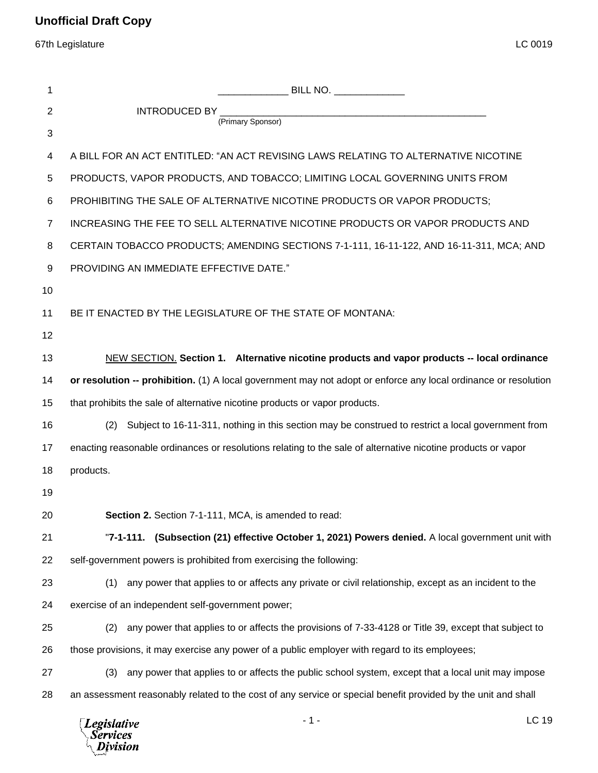67th Legislature LC 0019

| 1  |                                                                                                                 |                                                                                                               |       |
|----|-----------------------------------------------------------------------------------------------------------------|---------------------------------------------------------------------------------------------------------------|-------|
| 2  |                                                                                                                 |                                                                                                               |       |
| 3  | (Primary Sponsor)                                                                                               |                                                                                                               |       |
| 4  |                                                                                                                 | A BILL FOR AN ACT ENTITLED: "AN ACT REVISING LAWS RELATING TO ALTERNATIVE NICOTINE                            |       |
| 5  | PRODUCTS, VAPOR PRODUCTS, AND TOBACCO; LIMITING LOCAL GOVERNING UNITS FROM                                      |                                                                                                               |       |
| 6  | PROHIBITING THE SALE OF ALTERNATIVE NICOTINE PRODUCTS OR VAPOR PRODUCTS;                                        |                                                                                                               |       |
| 7  | INCREASING THE FEE TO SELL ALTERNATIVE NICOTINE PRODUCTS OR VAPOR PRODUCTS AND                                  |                                                                                                               |       |
| 8  | CERTAIN TOBACCO PRODUCTS; AMENDING SECTIONS 7-1-111, 16-11-122, AND 16-11-311, MCA; AND                         |                                                                                                               |       |
| 9  | PROVIDING AN IMMEDIATE EFFECTIVE DATE."                                                                         |                                                                                                               |       |
| 10 |                                                                                                                 |                                                                                                               |       |
| 11 | BE IT ENACTED BY THE LEGISLATURE OF THE STATE OF MONTANA:                                                       |                                                                                                               |       |
| 12 |                                                                                                                 |                                                                                                               |       |
| 13 |                                                                                                                 | NEW SECTION. Section 1. Alternative nicotine products and vapor products -- local ordinance                   |       |
| 14 | or resolution -- prohibition. (1) A local government may not adopt or enforce any local ordinance or resolution |                                                                                                               |       |
| 15 | that prohibits the sale of alternative nicotine products or vapor products.                                     |                                                                                                               |       |
| 16 | (2)                                                                                                             | Subject to 16-11-311, nothing in this section may be construed to restrict a local government from            |       |
| 17 | enacting reasonable ordinances or resolutions relating to the sale of alternative nicotine products or vapor    |                                                                                                               |       |
| 18 | products.                                                                                                       |                                                                                                               |       |
| 19 |                                                                                                                 |                                                                                                               |       |
| 20 | Section 2. Section 7-1-111, MCA, is amended to read:                                                            |                                                                                                               |       |
| 21 |                                                                                                                 | "7-1-111. (Subsection (21) effective October 1, 2021) Powers denied. A local government unit with             |       |
| 22 | self-government powers is prohibited from exercising the following:                                             |                                                                                                               |       |
| 23 |                                                                                                                 | (1) any power that applies to or affects any private or civil relationship, except as an incident to the      |       |
| 24 | exercise of an independent self-government power;                                                               |                                                                                                               |       |
| 25 |                                                                                                                 | (2) any power that applies to or affects the provisions of 7-33-4128 or Title 39, except that subject to      |       |
| 26 | those provisions, it may exercise any power of a public employer with regard to its employees;                  |                                                                                                               |       |
| 27 | (3)                                                                                                             | any power that applies to or affects the public school system, except that a local unit may impose            |       |
| 28 |                                                                                                                 | an assessment reasonably related to the cost of any service or special benefit provided by the unit and shall |       |
|    | $\Box$ poislative                                                                                               | $-1-$                                                                                                         | LC 19 |

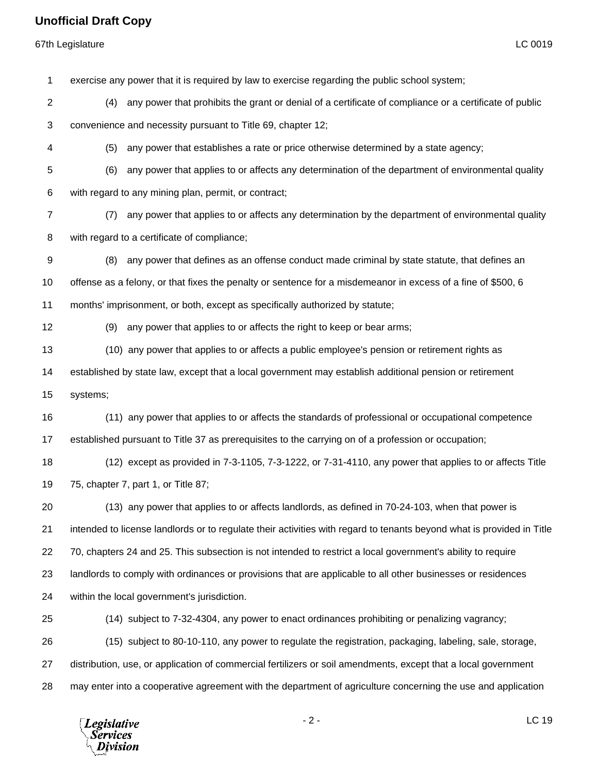## **Unofficial Draft Copy**

67th Legislature LC 0019

 exercise any power that it is required by law to exercise regarding the public school system; (4) any power that prohibits the grant or denial of a certificate of compliance or a certificate of public convenience and necessity pursuant to Title 69, chapter 12; (5) any power that establishes a rate or price otherwise determined by a state agency; (6) any power that applies to or affects any determination of the department of environmental quality with regard to any mining plan, permit, or contract; (7) any power that applies to or affects any determination by the department of environmental quality with regard to a certificate of compliance; (8) any power that defines as an offense conduct made criminal by state statute, that defines an offense as a felony, or that fixes the penalty or sentence for a misdemeanor in excess of a fine of \$500, 6 months' imprisonment, or both, except as specifically authorized by statute; (9) any power that applies to or affects the right to keep or bear arms; (10) any power that applies to or affects a public employee's pension or retirement rights as established by state law, except that a local government may establish additional pension or retirement systems; (11) any power that applies to or affects the standards of professional or occupational competence established pursuant to Title 37 as prerequisites to the carrying on of a profession or occupation; (12) except as provided in 7-3-1105, 7-3-1222, or 7-31-4110, any power that applies to or affects Title 75, chapter 7, part 1, or Title 87; (13) any power that applies to or affects landlords, as defined in 70-24-103, when that power is intended to license landlords or to regulate their activities with regard to tenants beyond what is provided in Title 70, chapters 24 and 25. This subsection is not intended to restrict a local government's ability to require landlords to comply with ordinances or provisions that are applicable to all other businesses or residences within the local government's jurisdiction. (14) subject to 7-32-4304, any power to enact ordinances prohibiting or penalizing vagrancy; (15) subject to 80-10-110, any power to regulate the registration, packaging, labeling, sale, storage, distribution, use, or application of commercial fertilizers or soil amendments, except that a local government may enter into a cooperative agreement with the department of agriculture concerning the use and application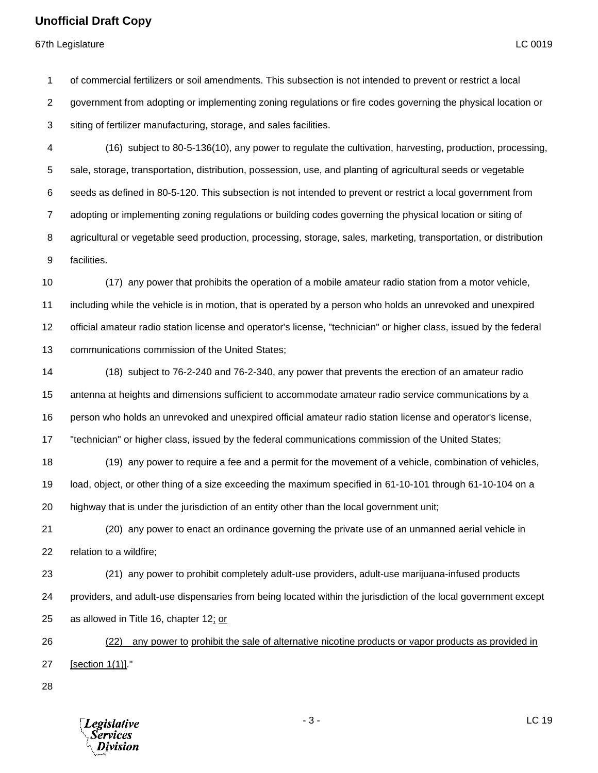## **Unofficial Draft Copy**

67th Legislature LC 0019

 of commercial fertilizers or soil amendments. This subsection is not intended to prevent or restrict a local government from adopting or implementing zoning regulations or fire codes governing the physical location or

siting of fertilizer manufacturing, storage, and sales facilities.

 (16) subject to 80-5-136(10), any power to regulate the cultivation, harvesting, production, processing, sale, storage, transportation, distribution, possession, use, and planting of agricultural seeds or vegetable seeds as defined in 80-5-120. This subsection is not intended to prevent or restrict a local government from adopting or implementing zoning regulations or building codes governing the physical location or siting of agricultural or vegetable seed production, processing, storage, sales, marketing, transportation, or distribution facilities.

 (17) any power that prohibits the operation of a mobile amateur radio station from a motor vehicle, including while the vehicle is in motion, that is operated by a person who holds an unrevoked and unexpired official amateur radio station license and operator's license, "technician" or higher class, issued by the federal communications commission of the United States;

 (18) subject to 76-2-240 and 76-2-340, any power that prevents the erection of an amateur radio antenna at heights and dimensions sufficient to accommodate amateur radio service communications by a person who holds an unrevoked and unexpired official amateur radio station license and operator's license, "technician" or higher class, issued by the federal communications commission of the United States;

 (19) any power to require a fee and a permit for the movement of a vehicle, combination of vehicles, load, object, or other thing of a size exceeding the maximum specified in 61-10-101 through 61-10-104 on a highway that is under the jurisdiction of an entity other than the local government unit;

 (20) any power to enact an ordinance governing the private use of an unmanned aerial vehicle in relation to a wildfire;

 (21) any power to prohibit completely adult-use providers, adult-use marijuana-infused products providers, and adult-use dispensaries from being located within the jurisdiction of the local government except as allowed in Title 16, chapter 12; or

 (22) any power to prohibit the sale of alternative nicotine products or vapor products as provided in [section 1(1)]."